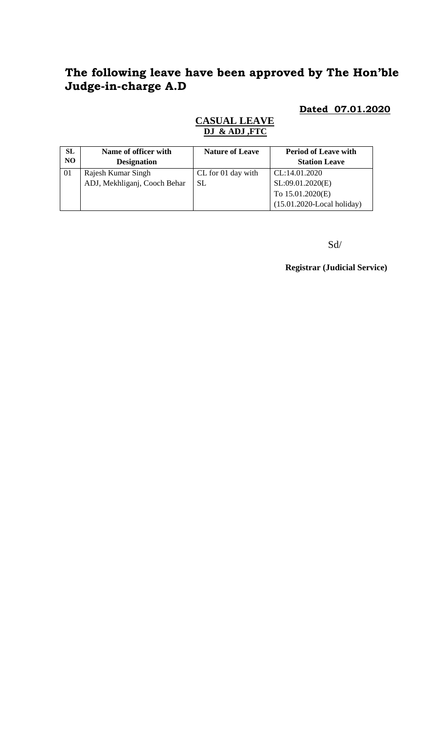## **The following leave have been approved by The Hon'ble Judge-in-charge A.D**

#### **Dated 07.01.2020**

#### **CASUAL LEAVE DJ & ADJ ,FTC**

| <b>SL</b>      | Name of officer with         | <b>Nature of Leave</b> | <b>Period of Leave with</b>   |
|----------------|------------------------------|------------------------|-------------------------------|
| N <sub>O</sub> | <b>Designation</b>           |                        | <b>Station Leave</b>          |
| 01             | Rajesh Kumar Singh           | CL for 01 day with     | CL:14.01.2020                 |
|                | ADJ, Mekhliganj, Cooch Behar | SL.                    | SL:09.01.2020(E)              |
|                |                              |                        | To 15.01.2020(E)              |
|                |                              |                        | $(15.01.2020$ -Local holiday) |

Sd/

**Registrar (Judicial Service)**